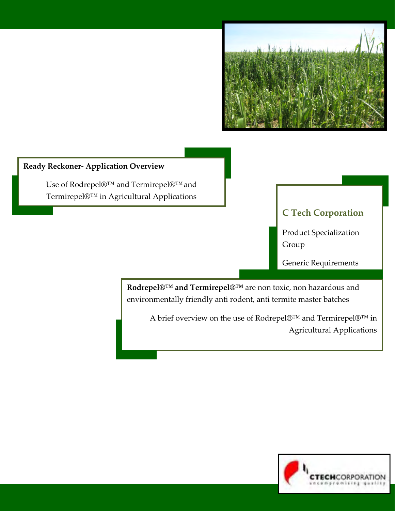

# **Ready Reckoner‐ Application Overview**

Use of Rodrepel®™ and Termirepel®™and Termirepel®™ in Agricultural Applications

# **C Tech Corporation**

Product Specialization Group

Generic Requirements

**Rodrepel®™ and Termirepel®™** are non toxic, non hazardous and environmentally friendly anti rodent, anti termite master batches

A brief overview on the use of Rodrepel®™ and Termirepel®™ in Agricultural Applications

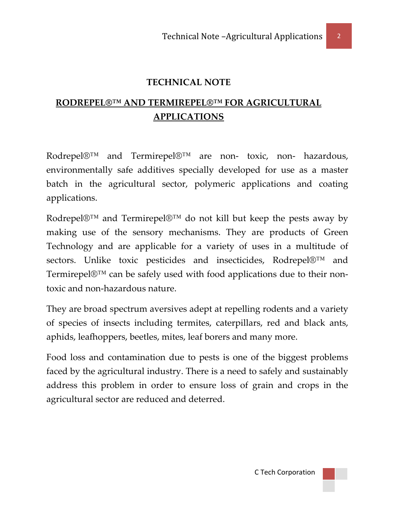#### **TECHNICAL NOTE**

# **RODREPEL®™ AND TERMIREPEL®™ FOR AGRICULTURAL APPLICATIONS**

Rodrepel $\mathbb{D}^{TM}$  and Termirepel $\mathbb{D}^{TM}$  are non- toxic, non- hazardous, environmentally safe additives specially developed for use as a master batch in the agricultural sector, polymeric applications and coating applications.

Rodrepel®™ and Termirepel®™ do not kill but keep the pests away by making use of the sensory mechanisms. They are products of Green Technology and are applicable for a variety of uses in a multitude of sectors. Unlike toxic pesticides and insecticides, Rodrepel®™ and Termirepel®™ can be safely used with food applications due to their nontoxic and non‐hazardous nature.

They are broad spectrum aversives adept at repelling rodents and a variety of species of insects including termites, caterpillars, red and black ants, aphids, leafhoppers, beetles, mites, leaf borers and many more.

Food loss and contamination due to pests is one of the biggest problems faced by the agricultural industry. There is a need to safely and sustainably address this problem in order to ensure loss of grain and crops in the agricultural sector are reduced and deterred.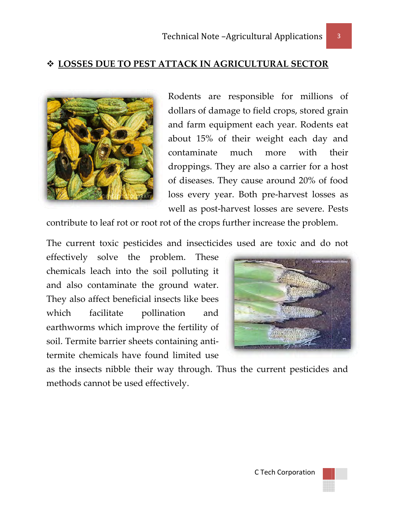### **LOS SSES DUE E TO PES ST ATTA CK IN AG GRICULT TURAL S SECTOR**



Rodents are responsible for millions of dollars of damage to field crops, stored grain and farm equipment each year. Rodents eat about 15% of their weight each day and cont taminate droppings. They are also a carrier for a host of d diseases. T They caus se around d 20% of f food loss every year. Both pre-harvest losses as well as post-harvest losses are severe. Pests much more with their

contribute to leaf rot or root rot of the crops further increase the problem.

The current toxic pesticides and insecticides used are toxic and do not

effectively solve the problem. These chemicals leach into the soil polluting it and al so contam minate th he ground d water. They a also affect beneficia al insects l like bees which earthworms which improve the fertility of soil. Termite barrier sheets containing antitermite chemicals have found limited use facilit tate po ollination and



as the insects nibble their way through. Thus the current pesticides and methods cannot be used effectively.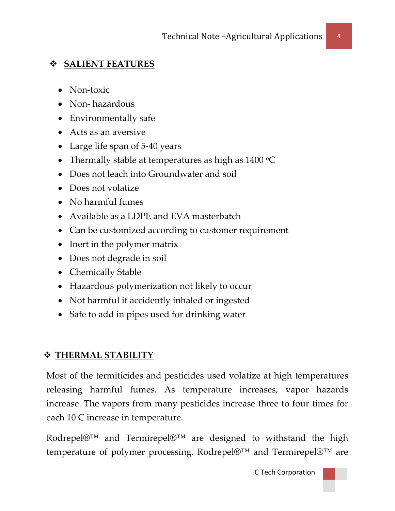### **SALIENT FEATURES**

- Non-toxic
- Non-hazardous
- Environmentally safe
- Acts as an aversive
- Large life span of 5-40 years
- Thermally stable at temperatures as high as  $1400 °C$
- Does not leach into Groundwater and soil
- Does not volatize
- No harmful fumes
- Available as a LDPE and EVA masterbatch
- Can be customized according to customer requirement
- Inert in the polymer matrix
- Does not degrade in soil
- Chemically Stable
- Hazardous polymerization not likely to occur
- Not harmful if accidently inhaled or ingested
- Safe to add in pipes used for drinking water

## **THERMAL STABILITY**

Most of the termiticides and pesticides used volatize at high temperatures releasing harmful fumes. As temperature increases, vapor hazards increase. The vapors from many pesticides increase three to four times for each 10 C increase in temperature.

Rodrepel®™ and Termirepel®™ are designed to withstand the high temperature of polymer processing. Rodrepel®™ and Termirepel®™ are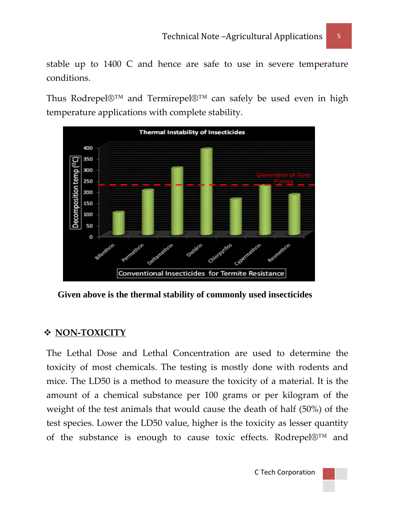stable up to 1400 C and hence are safe to use in severe temperature conditions.

Thus Rodrepel®™ and Termirepel®™ can safely be used even in high temperature applications with complete stability.



 **Given above is the thermal stability of commonly used insecticides** 

### **NON‐TOXICITY**

The Lethal Dose and Lethal Concentration are used to determine the toxicity of most chemicals. The testing is mostly done with rodents and mice. The LD50 is a method to measure the toxicity of a material. It is the amount of a chemical substance per 100 grams or per kilogram of the weight of the test animals that would cause the death of half (50%) of the test species. Lower the LD50 value, higher is the toxicity as lesser quantity of the substance is enough to cause toxic effects. Rodrepel®™ and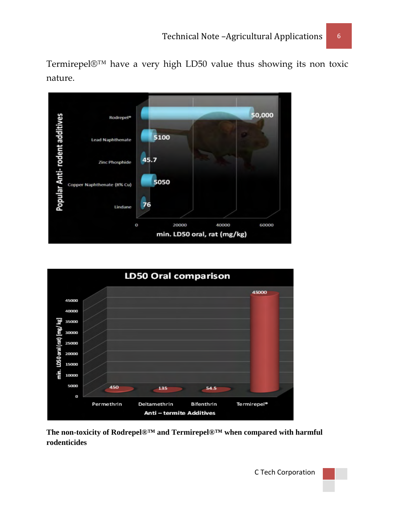Termirepel®™ have a very high LD50 value thus showing its non toxic nature.





**The non-toxicity of Rodrepel®™ and Termirepel®™ when compared with harmful rodenticides**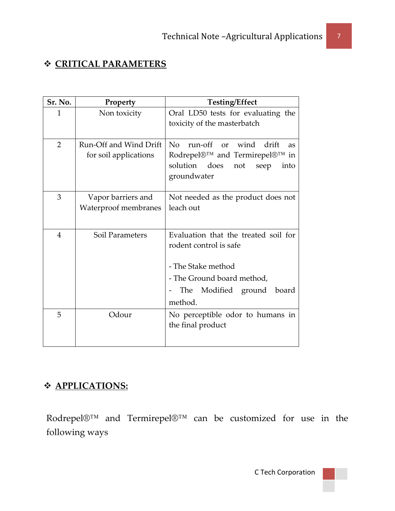# **CRITICAL PARAMETERS**

| Sr. No.        | Property               | <b>Testing/Effect</b>                              |
|----------------|------------------------|----------------------------------------------------|
| 1              | Non toxicity           | Oral LD50 tests for evaluating the                 |
|                |                        | toxicity of the masterbatch                        |
|                |                        |                                                    |
| $\overline{2}$ | Run-Off and Wind Drift | No<br>wind<br>run-off<br>drift<br>$\alpha$ r<br>as |
|                | for soil applications  | Rodrepel®™ and Termirepel®™ in                     |
|                |                        | solution does<br>not<br>seep<br>into               |
|                |                        | groundwater                                        |
|                |                        |                                                    |
| 3              | Vapor barriers and     | Not needed as the product does not                 |
|                | Waterproof membranes   | leach out                                          |
|                |                        |                                                    |
| $\overline{4}$ | Soil Parameters        | Evaluation that the treated soil for               |
|                |                        | rodent control is safe                             |
|                |                        |                                                    |
|                |                        | - The Stake method                                 |
|                |                        | - The Ground board method,                         |
|                |                        | The Modified ground<br>board                       |
|                |                        | method.                                            |
| 5              | Odour                  | No perceptible odor to humans in                   |
|                |                        | the final product                                  |
|                |                        |                                                    |
|                |                        |                                                    |

# **APPLICATIONS:**

Rodrepel®™ and Termirepel®™ can be customized for use in the following ways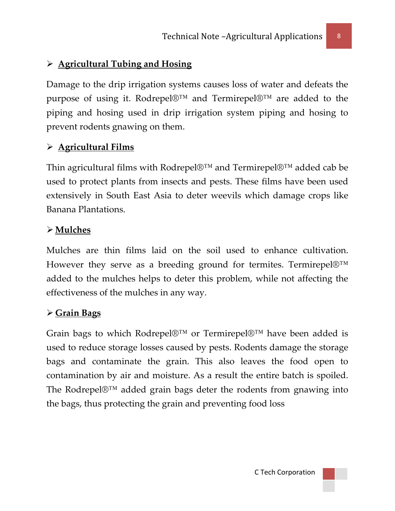## ¾ **Agricultural Tubing and Hosing**

Damage to the drip irrigation systems causes loss of water and defeats the purpose of using it. Rodrepel®™ and Termirepel®™ are added to the piping and hosing used in drip irrigation system piping and hosing to prevent rodents gnawing on them.

### ¾ **Agricultural Films**

Thin agricultural films with Rodrepel®™ and Termirepel®™ added cab be used to protect plants from insects and pests. These films have been used extensively in South East Asia to deter weevils which damage crops like Banana Plantations.

### ¾ **Mulches**

Mulches are thin films laid on the soil used to enhance cultivation. However they serve as a breeding ground for termites. Termirepel®™ added to the mulches helps to deter this problem, while not affecting the effectiveness of the mulches in any way.

### ¾ **Grain Bags**

Grain bags to which Rodrepel®™ or Termirepel®™ have been added is used to reduce storage losses caused by pests. Rodents damage the storage bags and contaminate the grain. This also leaves the food open to contamination by air and moisture. As a result the entire batch is spoiled. The Rodrepel®™ added grain bags deter the rodents from gnawing into the bags, thus protecting the grain and preventing food loss